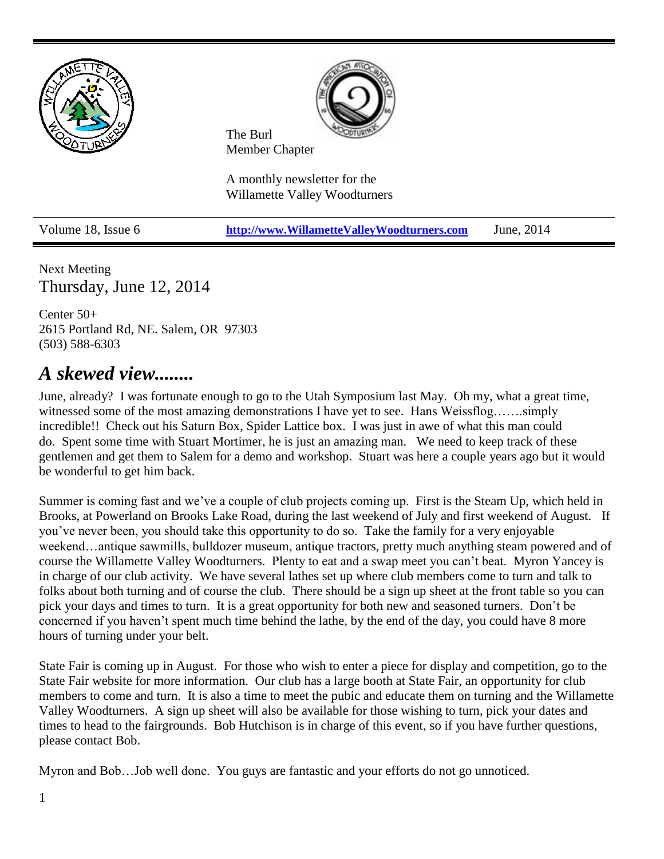

Next Meeting Thursday, June 12, 2014

Center 50+ 2615 Portland Rd, NE. Salem, OR 97303 (503) 588-6303

# *A skewed view........*

June, already? I was fortunate enough to go to the Utah Symposium last May. Oh my, what a great time, witnessed some of the most amazing demonstrations I have yet to see. Hans Weissflog……simply incredible!! Check out his Saturn Box, Spider Lattice box. I was just in awe of what this man could do. Spent some time with Stuart Mortimer, he is just an amazing man. We need to keep track of these gentlemen and get them to Salem for a demo and workshop. Stuart was here a couple years ago but it would be wonderful to get him back.

Summer is coming fast and we've a couple of club projects coming up. First is the Steam Up, which held in Brooks, at Powerland on Brooks Lake Road, during the last weekend of July and first weekend of August. If you've never been, you should take this opportunity to do so. Take the family for a very enjoyable weekend…antique sawmills, bulldozer museum, antique tractors, pretty much anything steam powered and of course the Willamette Valley Woodturners. Plenty to eat and a swap meet you can't beat. Myron Yancey is in charge of our club activity. We have several lathes set up where club members come to turn and talk to folks about both turning and of course the club. There should be a sign up sheet at the front table so you can pick your days and times to turn. It is a great opportunity for both new and seasoned turners. Don't be concerned if you haven't spent much time behind the lathe, by the end of the day, you could have 8 more hours of turning under your belt.

State Fair is coming up in August. For those who wish to enter a piece for display and competition, go to the State Fair website for more information. Our club has a large booth at State Fair, an opportunity for club members to come and turn. It is also a time to meet the pubic and educate them on turning and the Willamette Valley Woodturners. A sign up sheet will also be available for those wishing to turn, pick your dates and times to head to the fairgrounds. Bob Hutchison is in charge of this event, so if you have further questions, please contact Bob.

Myron and Bob…Job well done. You guys are fantastic and your efforts do not go unnoticed.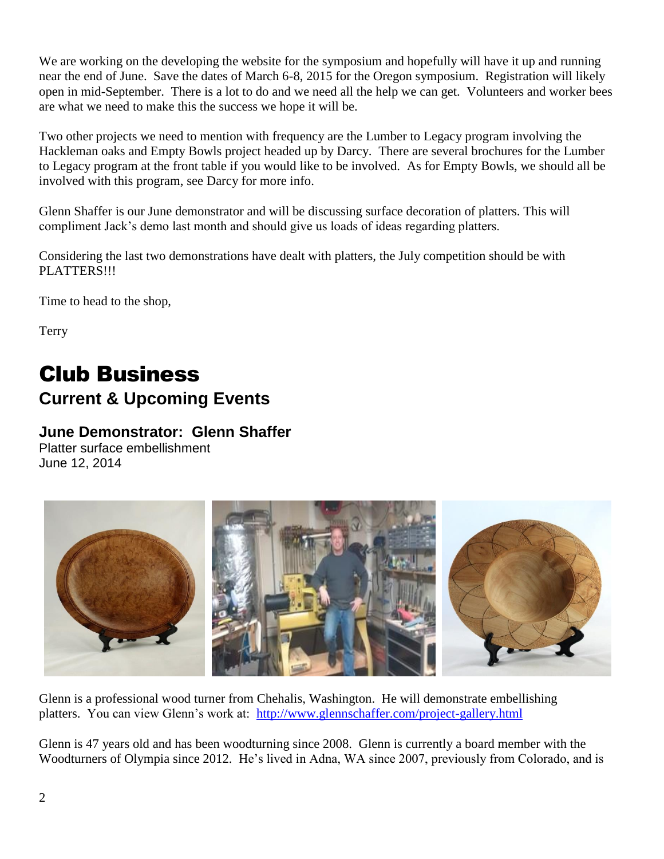We are working on the developing the website for the symposium and hopefully will have it up and running near the end of June. Save the dates of March 6-8, 2015 for the Oregon symposium. Registration will likely open in mid-September. There is a lot to do and we need all the help we can get. Volunteers and worker bees are what we need to make this the success we hope it will be.

Two other projects we need to mention with frequency are the Lumber to Legacy program involving the Hackleman oaks and Empty Bowls project headed up by Darcy. There are several brochures for the Lumber to Legacy program at the front table if you would like to be involved. As for Empty Bowls, we should all be involved with this program, see Darcy for more info.

Glenn Shaffer is our June demonstrator and will be discussing surface decoration of platters. This will compliment Jack's demo last month and should give us loads of ideas regarding platters.

Considering the last two demonstrations have dealt with platters, the July competition should be with PLATTERS!!!

Time to head to the shop,

Terry

# Club Business **Current & Upcoming Events**

## **June Demonstrator: Glenn Shaffer**

Platter surface embellishment June 12, 2014



Glenn is a professional wood turner from Chehalis, Washington. He will demonstrate embellishing platters. You can view Glenn's work at: <http://www.glennschaffer.com/project-gallery.html>

Glenn is 47 years old and has been woodturning since 2008. Glenn is currently a board member with the Woodturners of Olympia since 2012. He's lived in Adna, WA since 2007, previously from Colorado, and is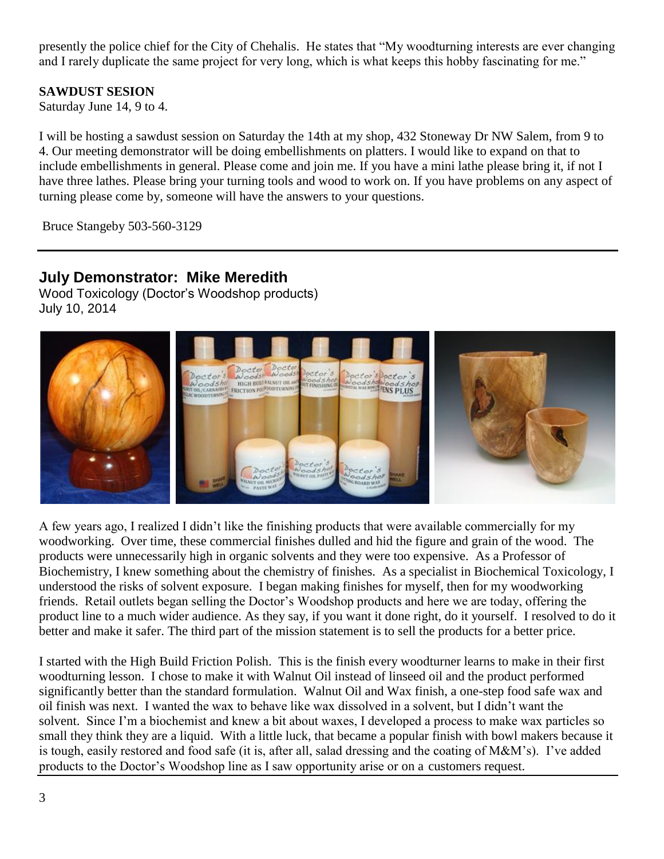presently the police chief for the City of Chehalis. He states that "My woodturning interests are ever changing and I rarely duplicate the same project for very long, which is what keeps this hobby fascinating for me."

### **SAWDUST SESION**

Saturday June 14, 9 to 4.

I will be hosting a sawdust session on Saturday the 14th at my shop, 432 Stoneway Dr NW Salem, from 9 to 4. Our meeting demonstrator will be doing embellishments on platters. I would like to expand on that to include embellishments in general. Please come and join me. If you have a mini lathe please bring it, if not I have three lathes. Please bring your turning tools and wood to work on. If you have problems on any aspect of turning please come by, someone will have the answers to your questions.

Bruce Stangeby 503-560-3129

## **July Demonstrator: Mike Meredith**

Wood Toxicology (Doctor's Woodshop products) July 10, 2014



A few years ago, I realized I didn't like the finishing products that were available commercially for my woodworking. Over time, these commercial finishes dulled and hid the figure and grain of the wood. The products were unnecessarily high in organic solvents and they were too expensive. As a Professor of Biochemistry, I knew something about the chemistry of finishes. As a specialist in Biochemical Toxicology, I understood the risks of solvent exposure. I began making finishes for myself, then for my woodworking friends. Retail outlets began selling the Doctor's Woodshop products and here we are today, offering the product line to a much wider audience. As they say, if you want it done right, do it yourself. I resolved to do it better and make it safer. The third part of the mission statement is to sell the products for a better price.

I started with the High Build Friction Polish. This is the finish every woodturner learns to make in their first woodturning lesson. I chose to make it with Walnut Oil instead of linseed oil and the product performed significantly better than the standard formulation. Walnut Oil and Wax finish, a one-step food safe wax and oil finish was next. I wanted the wax to behave like wax dissolved in a solvent, but I didn't want the solvent. Since I'm a biochemist and knew a bit about waxes, I developed a process to make wax particles so small they think they are a liquid. With a little luck, that became a popular finish with bowl makers because it is tough, easily restored and food safe (it is, after all, salad dressing and the coating of M&M's). I've added products to the Doctor's Woodshop line as I saw opportunity arise or on a customers request.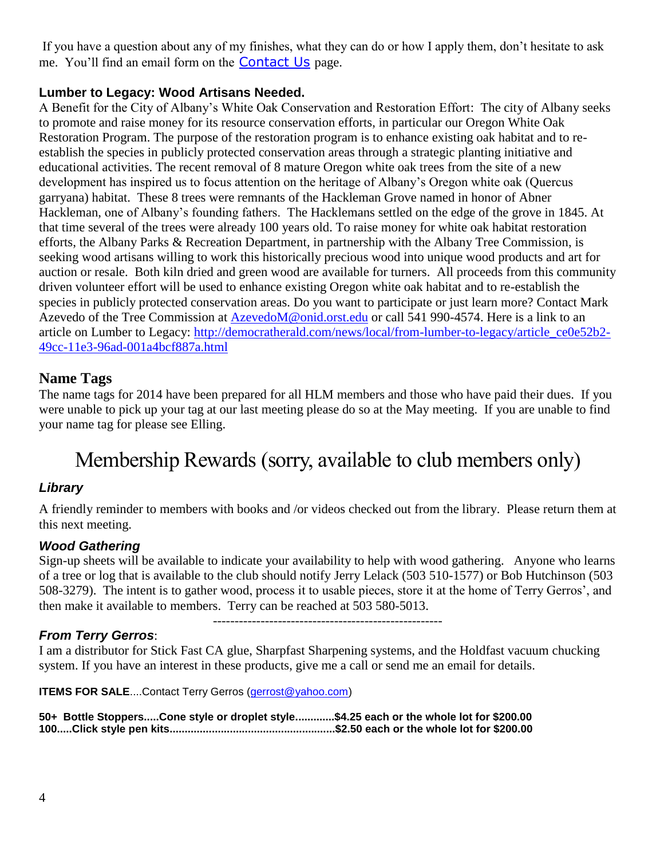If you have a question about any of my finishes, what they can do or how I apply them, don't hesitate to ask me. You'll find an email form on the [Contact Us](http://www.doctorswoodshop.com/ContactUs.aspx) page.

### **Lumber to Legacy: Wood Artisans Needed.**

A Benefit for the City of Albany's White Oak Conservation and Restoration Effort: The city of Albany seeks to promote and raise money for its resource conservation efforts, in particular our Oregon White Oak Restoration Program. The purpose of the restoration program is to enhance existing oak habitat and to reestablish the species in publicly protected conservation areas through a strategic planting initiative and educational activities. The recent removal of 8 mature Oregon white oak trees from the site of a new development has inspired us to focus attention on the heritage of Albany's Oregon white oak (Quercus garryana) habitat. These 8 trees were remnants of the Hackleman Grove named in honor of Abner Hackleman, one of Albany's founding fathers. The Hacklemans settled on the edge of the grove in 1845. At that time several of the trees were already 100 years old. To raise money for white oak habitat restoration efforts, the Albany Parks & Recreation Department, in partnership with the Albany Tree Commission, is seeking wood artisans willing to work this historically precious wood into unique wood products and art for auction or resale. Both kiln dried and green wood are available for turners. All proceeds from this community driven volunteer effort will be used to enhance existing Oregon white oak habitat and to re-establish the species in publicly protected conservation areas. Do you want to participate or just learn more? Contact Mark Azevedo of the Tree Commission at [AzevedoM@onid.orst.edu](mailto:AzevedoM@onid.orst.edu) or call 541 990-4574. Here is a link to an article on Lumber to Legacy: [http://democratherald.com/news/local/from-lumber-to-legacy/article\\_ce0e52b2-](http://democratherald.com/news/local/from-lumber-to-legacy/article_ce0e52b2-49cc-11e3-96ad-001a4bcf887a.html) [49cc-11e3-96ad-001a4bcf887a.html](http://democratherald.com/news/local/from-lumber-to-legacy/article_ce0e52b2-49cc-11e3-96ad-001a4bcf887a.html)

### **Name Tags**

The name tags for 2014 have been prepared for all HLM members and those who have paid their dues. If you were unable to pick up your tag at our last meeting please do so at the May meeting. If you are unable to find your name tag for please see Elling.

# Membership Rewards (sorry, available to club members only)

### *Library*

A friendly reminder to members with books and /or videos checked out from the library. Please return them at this next meeting.

### *Wood Gathering*

Sign-up sheets will be available to indicate your availability to help with wood gathering. Anyone who learns of a tree or log that is available to the club should notify Jerry Lelack (503 510-1577) or Bob Hutchinson (503 508-3279). The intent is to gather wood, process it to usable pieces, store it at the home of Terry Gerros', and then make it available to members. Terry can be reached at 503 580-5013.

-----------------------------------------------------

### *From Terry Gerros*:

I am a distributor for Stick Fast CA glue, Sharpfast Sharpening systems, and the Holdfast vacuum chucking system. If you have an interest in these products, give me a call or send me an email for details.

**ITEMS FOR SALE....Contact Terry Gerros [\(gerrost@yahoo.com\)](mailto:gerrost@yahoo.com)** 

**50+ Bottle Stoppers.....Cone style or droplet style.............\$4.25 each or the whole lot for \$200.00 100.....Click style pen kits.......................................................\$2.50 each or the whole lot for \$200.00**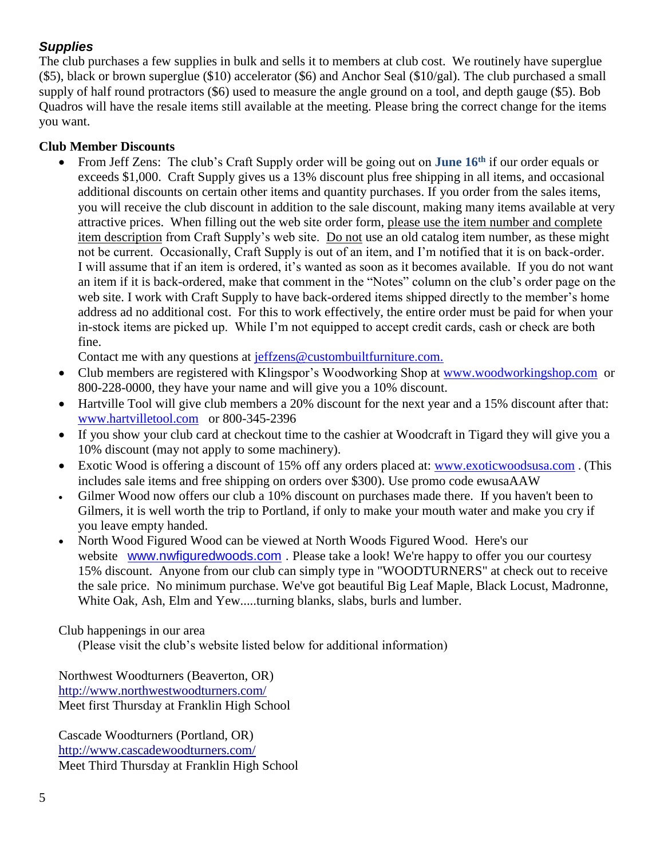### *Supplies*

The club purchases a few supplies in bulk and sells it to members at club cost. We routinely have superglue (\$5), black or brown superglue (\$10) accelerator (\$6) and Anchor Seal (\$10/gal). The club purchased a small supply of half round protractors (\$6) used to measure the angle ground on a tool, and depth gauge (\$5). Bob Quadros will have the resale items still available at the meeting. Please bring the correct change for the items you want.

### **Club Member Discounts**

 From Jeff Zens: The club's Craft Supply order will be going out on **June 16th** if our order equals or exceeds \$1,000. Craft Supply gives us a 13% discount plus free shipping in all items, and occasional additional discounts on certain other items and quantity purchases. If you order from the sales items, you will receive the club discount in addition to the sale discount, making many items available at very attractive prices. When filling out the web site order form, please use the item number and complete item description from Craft Supply's web site. Do not use an old catalog item number, as these might not be current. Occasionally, Craft Supply is out of an item, and I'm notified that it is on back-order. I will assume that if an item is ordered, it's wanted as soon as it becomes available. If you do not want an item if it is back-ordered, make that comment in the "Notes" column on the club's order page on the web site. I work with Craft Supply to have back-ordered items shipped directly to the member's home address ad no additional cost. For this to work effectively, the entire order must be paid for when your in-stock items are picked up. While I'm not equipped to accept credit cards, cash or check are both fine.

Contact me with any questions at [jeffzens@custombuiltfurniture.com.](mailto:jeffzens@custombuiltfurniture.com.)

- Club members are registered with Klingspor's Woodworking Shop at [www.woodworkingshop.com](http://www.woodworkingshop.com/) or 800-228-0000, they have your name and will give you a 10% discount.
- Hartville Tool will give club members a 20% discount for the next year and a 15% discount after that: [www.hartvilletool.com](http://www.hartvilletool.com/) or 800-345-2396
- If you show your club card at checkout time to the cashier at Woodcraft in Tigard they will give you a 10% discount (may not apply to some machinery).
- Exotic Wood is offering a discount of 15% off any orders placed at: [www.exoticwoodsusa.com](http://www.exoticwoodsusa.com/) . (This includes sale items and free shipping on orders over \$300). Use promo code ewusaAAW
- Gilmer Wood now offers our club a 10% discount on purchases made there. If you haven't been to Gilmers, it is well worth the trip to Portland, if only to make your mouth water and make you cry if you leave empty handed.
- North Wood Figured Wood can be viewed at North Woods Figured Wood. Here's our website [www.nwfiguredwoods.com](http://www.nwfiguredwoods.com/). Please take a look! We're happy to offer you our courtesy 15% discount. Anyone from our club can simply type in "WOODTURNERS" at check out to receive the sale price. No minimum purchase. We've got beautiful Big Leaf Maple, Black Locust, Madronne, White Oak, Ash, Elm and Yew.....turning blanks, slabs, burls and lumber.

Club happenings in our area

(Please visit the club's website listed below for additional information)

Northwest Woodturners (Beaverton, OR) <http://www.northwestwoodturners.com/> Meet first Thursday at Franklin High School

Cascade Woodturners (Portland, OR) <http://www.cascadewoodturners.com/> Meet Third Thursday at Franklin High School